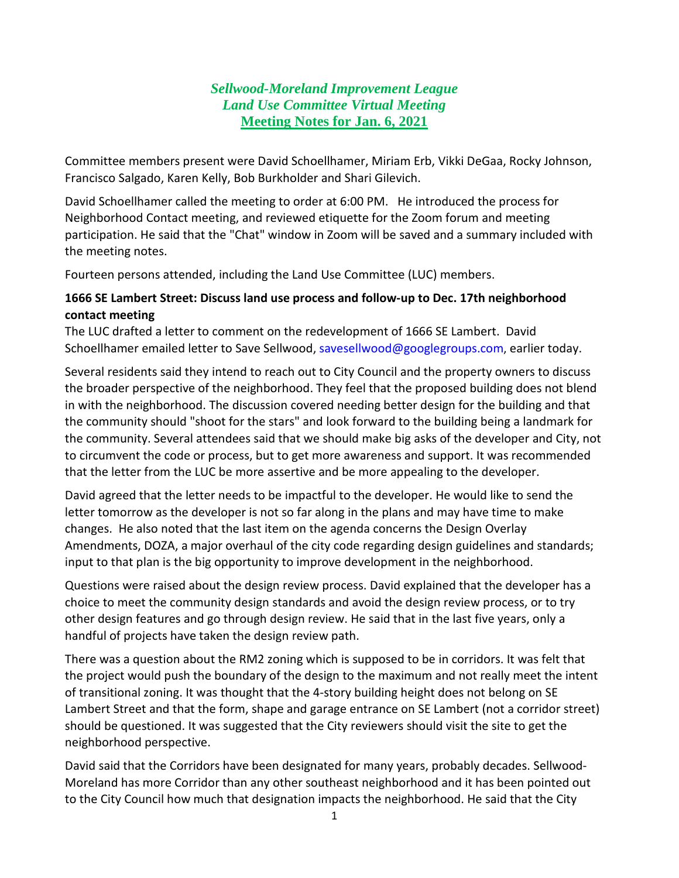## *Sellwood-Moreland Improvement League Land Use Committee Virtual Meeting* **Meeting Notes for Jan. 6, 2021**

Committee members present were David Schoellhamer, Miriam Erb, Vikki DeGaa, Rocky Johnson, Francisco Salgado, Karen Kelly, Bob Burkholder and Shari Gilevich.

David Schoellhamer called the meeting to order at 6:00 PM. He introduced the process for Neighborhood Contact meeting, and reviewed etiquette for the Zoom forum and meeting participation. He said that the "Chat" window in Zoom will be saved and a summary included with the meeting notes.

Fourteen persons attended, including the Land Use Committee (LUC) members.

## **1666 SE Lambert Street: Discuss land use process and follow-up to Dec. 17th neighborhood contact meeting**

The LUC drafted a letter to comment on the redevelopment of 1666 SE Lambert. David Schoellhamer emailed letter to Save Sellwood, [savesellwood@googlegroups.com,](mailto:savesellwood@googlegroups.com) earlier today.

Several residents said they intend to reach out to City Council and the property owners to discuss the broader perspective of the neighborhood. They feel that the proposed building does not blend in with the neighborhood. The discussion covered needing better design for the building and that the community should "shoot for the stars" and look forward to the building being a landmark for the community. Several attendees said that we should make big asks of the developer and City, not to circumvent the code or process, but to get more awareness and support. It was recommended that the letter from the LUC be more assertive and be more appealing to the developer.

David agreed that the letter needs to be impactful to the developer. He would like to send the letter tomorrow as the developer is not so far along in the plans and may have time to make changes. He also noted that the last item on the agenda concerns the Design Overlay Amendments, DOZA, a major overhaul of the city code regarding design guidelines and standards; input to that plan is the big opportunity to improve development in the neighborhood.

Questions were raised about the design review process. David explained that the developer has a choice to meet the community design standards and avoid the design review process, or to try other design features and go through design review. He said that in the last five years, only a handful of projects have taken the design review path.

There was a question about the RM2 zoning which is supposed to be in corridors. It was felt that the project would push the boundary of the design to the maximum and not really meet the intent of transitional zoning. It was thought that the 4-story building height does not belong on SE Lambert Street and that the form, shape and garage entrance on SE Lambert (not a corridor street) should be questioned. It was suggested that the City reviewers should visit the site to get the neighborhood perspective.

David said that the Corridors have been designated for many years, probably decades. Sellwood-Moreland has more Corridor than any other southeast neighborhood and it has been pointed out to the City Council how much that designation impacts the neighborhood. He said that the City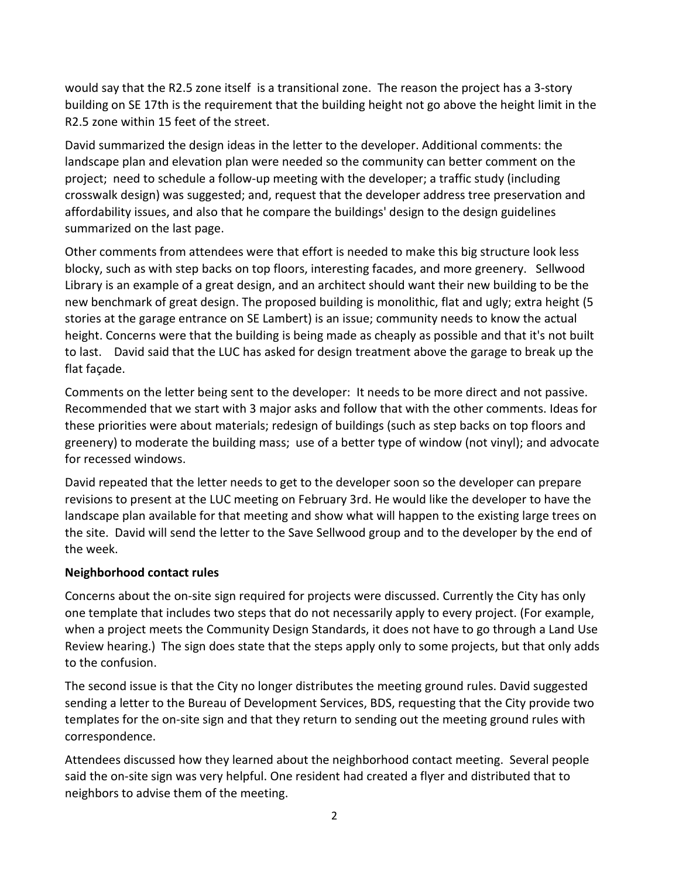would say that the R2.5 zone itself is a transitional zone. The reason the project has a 3-story building on SE 17th is the requirement that the building height not go above the height limit in the R2.5 zone within 15 feet of the street.

David summarized the design ideas in the letter to the developer. Additional comments: the landscape plan and elevation plan were needed so the community can better comment on the project; need to schedule a follow-up meeting with the developer; a traffic study (including crosswalk design) was suggested; and, request that the developer address tree preservation and affordability issues, and also that he compare the buildings' design to the design guidelines summarized on the last page.

Other comments from attendees were that effort is needed to make this big structure look less blocky, such as with step backs on top floors, interesting facades, and more greenery. Sellwood Library is an example of a great design, and an architect should want their new building to be the new benchmark of great design. The proposed building is monolithic, flat and ugly; extra height (5 stories at the garage entrance on SE Lambert) is an issue; community needs to know the actual height. Concerns were that the building is being made as cheaply as possible and that it's not built to last. David said that the LUC has asked for design treatment above the garage to break up the flat façade.

Comments on the letter being sent to the developer: It needs to be more direct and not passive. Recommended that we start with 3 major asks and follow that with the other comments. Ideas for these priorities were about materials; redesign of buildings (such as step backs on top floors and greenery) to moderate the building mass; use of a better type of window (not vinyl); and advocate for recessed windows.

David repeated that the letter needs to get to the developer soon so the developer can prepare revisions to present at the LUC meeting on February 3rd. He would like the developer to have the landscape plan available for that meeting and show what will happen to the existing large trees on the site. David will send the letter to the Save Sellwood group and to the developer by the end of the week.

## **Neighborhood contact rules**

Concerns about the on-site sign required for projects were discussed. Currently the City has only one template that includes two steps that do not necessarily apply to every project. (For example, when a project meets the Community Design Standards, it does not have to go through a Land Use Review hearing.) The sign does state that the steps apply only to some projects, but that only adds to the confusion.

The second issue is that the City no longer distributes the meeting ground rules. David suggested sending a letter to the Bureau of Development Services, BDS, requesting that the City provide two templates for the on-site sign and that they return to sending out the meeting ground rules with correspondence.

Attendees discussed how they learned about the neighborhood contact meeting. Several people said the on-site sign was very helpful. One resident had created a flyer and distributed that to neighbors to advise them of the meeting.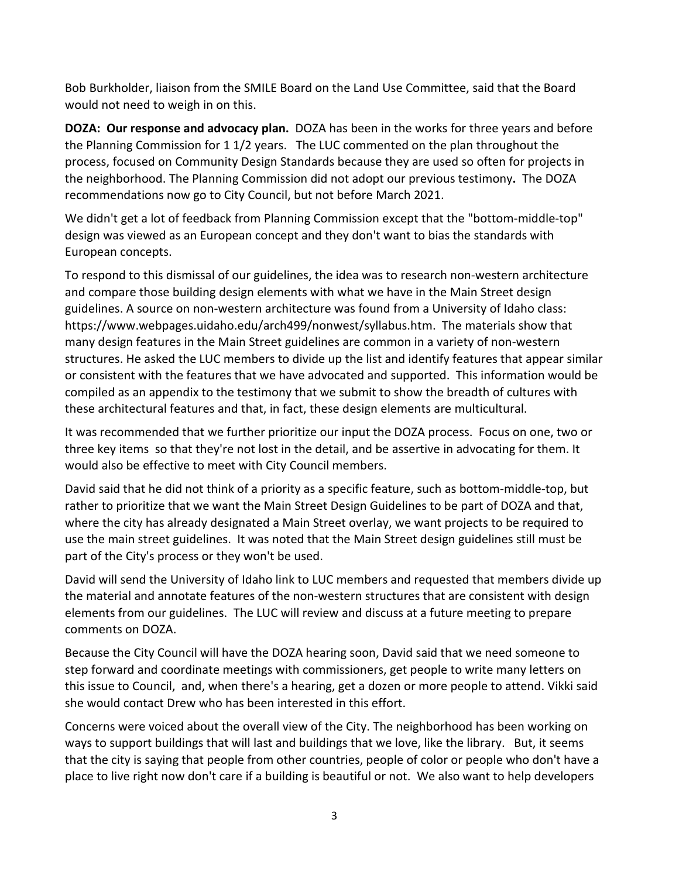Bob Burkholder, liaison from the SMILE Board on the Land Use Committee, said that the Board would not need to weigh in on this.

**DOZA: Our response and advocacy plan.** DOZA has been in the works for three years and before the Planning Commission for 1 1/2 years. The LUC commented on the plan throughout the process, focused on Community Design Standards because they are used so often for projects in the neighborhood. The Planning Commission did not adopt our previous testimony**.** The DOZA recommendations now go to City Council, but not before March 2021.

We didn't get a lot of feedback from Planning Commission except that the "bottom-middle-top" design was viewed as an European concept and they don't want to bias the standards with European concepts.

To respond to this dismissal of our guidelines, the idea was to research non-western architecture and compare those building design elements with what we have in the Main Street design guidelines. A source on non-western architecture was found from a University of Idaho class: https://www.webpages.uidaho.edu/arch499/nonwest/syllabus.htm. The materials show that many design features in the Main Street guidelines are common in a variety of non-western structures. He asked the LUC members to divide up the list and identify features that appear similar or consistent with the features that we have advocated and supported. This information would be compiled as an appendix to the testimony that we submit to show the breadth of cultures with these architectural features and that, in fact, these design elements are multicultural.

It was recommended that we further prioritize our input the DOZA process. Focus on one, two or three key items so that they're not lost in the detail, and be assertive in advocating for them. It would also be effective to meet with City Council members.

David said that he did not think of a priority as a specific feature, such as bottom-middle-top, but rather to prioritize that we want the Main Street Design Guidelines to be part of DOZA and that, where the city has already designated a Main Street overlay, we want projects to be required to use the main street guidelines. It was noted that the Main Street design guidelines still must be part of the City's process or they won't be used.

David will send the University of Idaho link to LUC members and requested that members divide up the material and annotate features of the non-western structures that are consistent with design elements from our guidelines. The LUC will review and discuss at a future meeting to prepare comments on DOZA.

Because the City Council will have the DOZA hearing soon, David said that we need someone to step forward and coordinate meetings with commissioners, get people to write many letters on this issue to Council, and, when there's a hearing, get a dozen or more people to attend. Vikki said she would contact Drew who has been interested in this effort.

Concerns were voiced about the overall view of the City. The neighborhood has been working on ways to support buildings that will last and buildings that we love, like the library. But, it seems that the city is saying that people from other countries, people of color or people who don't have a place to live right now don't care if a building is beautiful or not. We also want to help developers